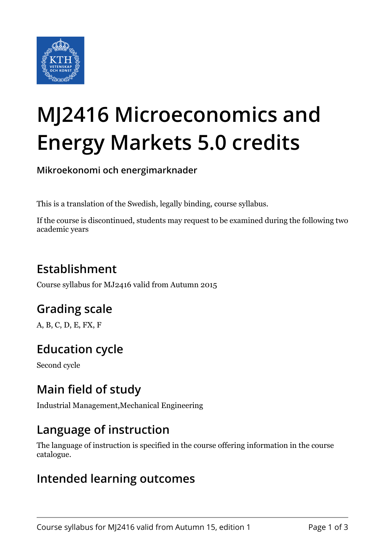

# **MJ2416 Microeconomics and Energy Markets 5.0 credits**

**Mikroekonomi och energimarknader**

This is a translation of the Swedish, legally binding, course syllabus.

If the course is discontinued, students may request to be examined during the following two academic years

## **Establishment**

Course syllabus for MJ2416 valid from Autumn 2015

## **Grading scale**

A, B, C, D, E, FX, F

## **Education cycle**

Second cycle

## **Main field of study**

Industrial Management,Mechanical Engineering

#### **Language of instruction**

The language of instruction is specified in the course offering information in the course catalogue.

#### **Intended learning outcomes**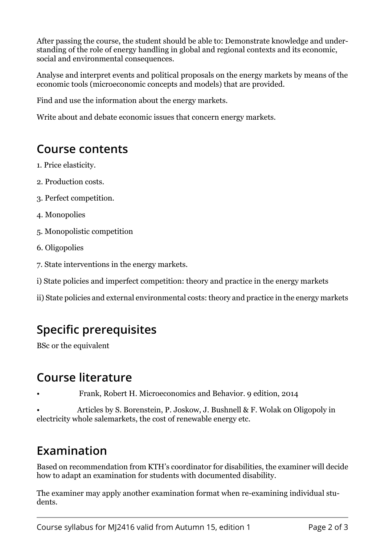After passing the course, the student should be able to: Demonstrate knowledge and understanding of the role of energy handling in global and regional contexts and its economic, social and environmental consequences.

Analyse and interpret events and political proposals on the energy markets by means of the economic tools (microeconomic concepts and models) that are provided.

Find and use the information about the energy markets.

Write about and debate economic issues that concern energy markets.

#### **Course contents**

- 1. Price elasticity.
- 2. Production costs.
- 3. Perfect competition.
- 4. Monopolies
- 5. Monopolistic competition
- 6. Oligopolies
- 7. State interventions in the energy markets.
- i) State policies and imperfect competition: theory and practice in the energy markets
- ii) State policies and external environmental costs: theory and practice in the energy markets

## **Specific prerequisites**

BSc or the equivalent

#### **Course literature**

• Frank, Robert H. Microeconomics and Behavior. 9 edition, 2014

• Articles by S. Borenstein, P. Joskow, J. Bushnell & F. Wolak on Oligopoly in electricity whole salemarkets, the cost of renewable energy etc.

#### **Examination**

Based on recommendation from KTH's coordinator for disabilities, the examiner will decide how to adapt an examination for students with documented disability.

The examiner may apply another examination format when re-examining individual students.